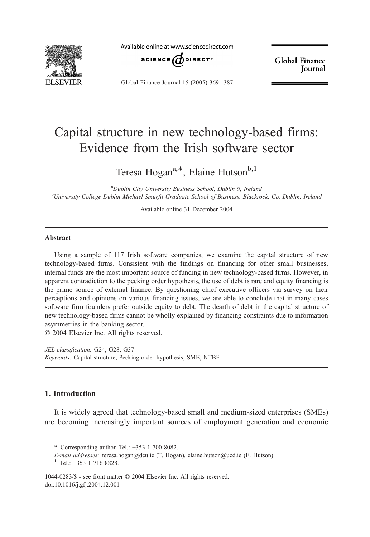

Available online at www.sciencedirect.com



**Global Finance** Journal

Global Finance Journal 15 (2005) 369 – 387

## Capital structure in new technology-based firms: Evidence from the Irish software sector

Teresa Hogan<sup>a,\*</sup>, Elaine Hutson<sup>b,1</sup>

<sup>a</sup>Dublin City University Business School, Dublin 9, Ireland <sup>b</sup>University College Dublin Michael Smurfit Graduate School of Business, Blackrock, Co. Dublin, Ireland

Available online 31 December 2004

## Abstract

Using a sample of 117 Irish software companies, we examine the capital structure of new technology-based firms. Consistent with the findings on financing for other small businesses, internal funds are the most important source of funding in new technology-based firms. However, in apparent contradiction to the pecking order hypothesis, the use of debt is rare and equity financing is the prime source of external finance. By questioning chief executive officers via survey on their perceptions and opinions on various financing issues, we are able to conclude that in many cases software firm founders prefer outside equity to debt. The dearth of debt in the capital structure of new technology-based firms cannot be wholly explained by financing constraints due to information asymmetries in the banking sector.

 $\odot$  2004 Elsevier Inc. All rights reserved.

JEL classification: G24; G28; G37 Keywords: Capital structure, Pecking order hypothesis; SME; NTBF

## 1. Introduction

It is widely agreed that technology-based small and medium-sized enterprises (SMEs) are becoming increasingly important sources of employment generation and economic

<sup>\*</sup> Corresponding author. Tel.: +353 1 700 8082.

E-mail addresses: teresa.hogan@dcu.ie (T. Hogan), elaine.hutson@ucd.ie (E. Hutson). <sup>1</sup> Tel.: +353 1 716 8828.

<sup>1044-0283/\$ -</sup> see front matter © 2004 Elsevier Inc. All rights reserved. doi:10.1016/j.gfj.2004.12.001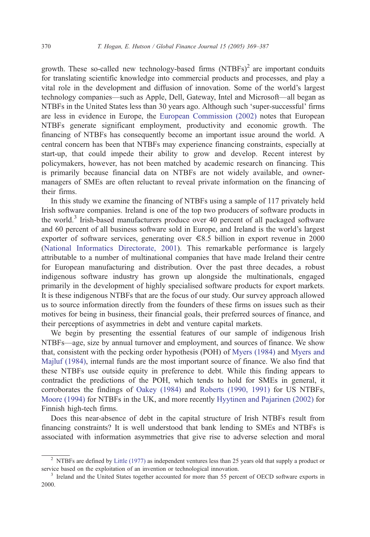growth. These so-called new technology-based firms  $(NTBFs)^2$  are important conduits for translating scientific knowledge into commercial products and processes, and play a vital role in the development and diffusion of innovation. Some of the world's largest technology companies—such as Apple, Dell, Gateway, Intel and Microsoft—all began as NTBFs in the United States less than 30 years ago. Although such 'super-successful' firms are less in evidence in Europe, the [European Commission \(2002\)](#page--1-0) notes that European NTBFs generate significant employment, productivity and economic growth. The financing of NTBFs has consequently become an important issue around the world. A central concern has been that NTBFs may experience financing constraints, especially at start-up, that could impede their ability to grow and develop. Recent interest by policymakers, however, has not been matched by academic research on financing. This is primarily because financial data on NTBFs are not widely available, and ownermanagers of SMEs are often reluctant to reveal private information on the financing of their firms.

In this study we examine the financing of NTBFs using a sample of 117 privately held Irish software companies. Ireland is one of the top two producers of software products in the world.<sup>3</sup> Irish-based manufacturers produce over 40 percent of all packaged software and 60 percent of all business software sold in Europe, and Ireland is the world's largest exporter of software services, generating over  $\epsilon$ 8.5 billion in export revenue in 2000 ([National Informatics Directorate, 2001\)](#page--1-0). This remarkable performance is largely attributable to a number of multinational companies that have made Ireland their centre for European manufacturing and distribution. Over the past three decades, a robust indigenous software industry has grown up alongside the multinationals, engaged primarily in the development of highly specialised software products for export markets. It is these indigenous NTBFs that are the focus of our study. Our survey approach allowed us to source information directly from the founders of these firms on issues such as their motives for being in business, their financial goals, their preferred sources of finance, and their perceptions of asymmetries in debt and venture capital markets.

We begin by presenting the essential features of our sample of indigenous Irish NTBFs—age, size by annual turnover and employment, and sources of finance. We show that, consistent with the pecking order hypothesis (POH) of [Myers \(1984\)](#page--1-0) and [Myers and](#page--1-0) Majluf (1984), internal funds are the most important source of finance. We also find that these NTBFs use outside equity in preference to debt. While this finding appears to contradict the predictions of the POH, which tends to hold for SMEs in general, it corroborates the findings of [Oakey \(1984\)](#page--1-0) and [Roberts \(1990, 1991\)](#page--1-0) for US NTBFs, [Moore \(1994\)](#page--1-0) for NTBFs in the UK, and more recently [Hyytinen and Pajarinen \(2002\)](#page--1-0) for Finnish high-tech firms.

Does this near-absence of debt in the capital structure of Irish NTBFs result from financing constraints? It is well understood that bank lending to SMEs and NTBFs is associated with information asymmetries that give rise to adverse selection and moral

<sup>&</sup>lt;sup>2</sup> NTBFs are defined by [Little \(1977\)](#page--1-0) as independent ventures less than 25 years old that supply a product or service based on the exploitation of an invention or technological innovation.<br><sup>3</sup> Ireland and the United States together accounted for more than 55 percent of OECD software exports in

<sup>2000.</sup>